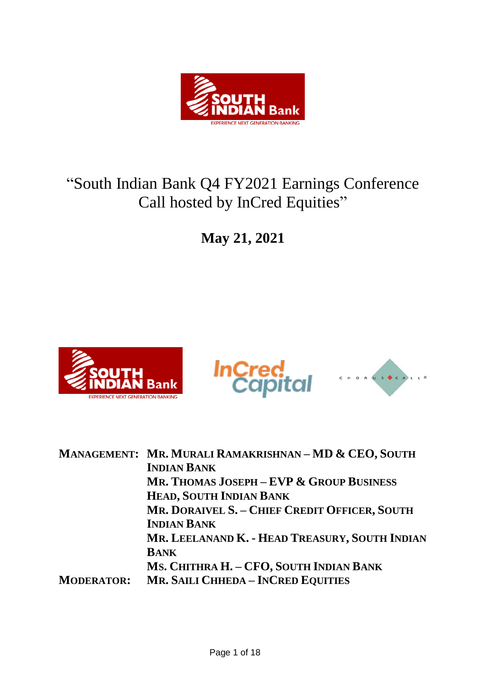

# "South Indian Bank Q4 FY2021 Earnings Conference Call hosted by InCred Equities"

**May 21, 2021**





|                   | MANAGEMENT: MR. MURALI RAMAKRISHNAN-MD & CEO, SOUTH |
|-------------------|-----------------------------------------------------|
|                   | <b>INDIAN BANK</b>                                  |
|                   | MR. THOMAS JOSEPH - EVP & GROUP BUSINESS            |
|                   | HEAD, SOUTH INDIAN BANK                             |
|                   | MR. DORAIVEL S. - CHIEF CREDIT OFFICER, SOUTH       |
|                   | <b>INDIAN BANK</b>                                  |
|                   | MR. LEELANAND K. - HEAD TREASURY, SOUTH INDIAN      |
|                   | <b>BANK</b>                                         |
|                   | MS. CHITHRA H. - CFO, SOUTH INDIAN BANK             |
| <b>MODERATOR:</b> | <b>MR. SAILI CHHEDA - INCRED EQUITIES</b>           |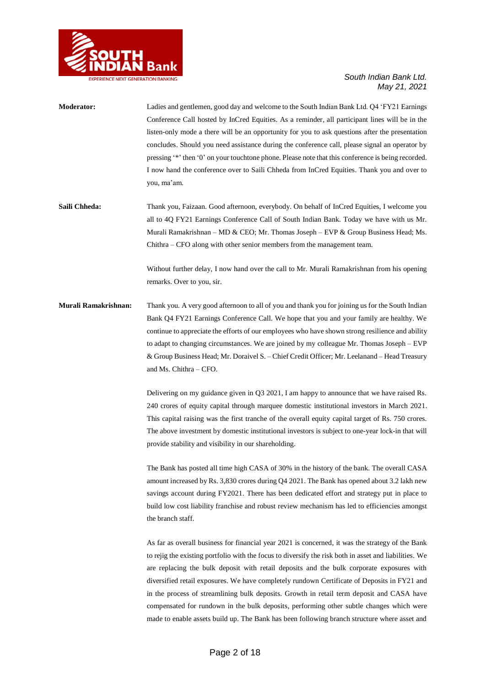

| <b>Moderator:</b>    | Ladies and gentlemen, good day and welcome to the South Indian Bank Ltd. Q4 'FY21 Earnings         |
|----------------------|----------------------------------------------------------------------------------------------------|
|                      | Conference Call hosted by InCred Equities. As a reminder, all participant lines will be in the     |
|                      | listen-only mode a there will be an opportunity for you to ask questions after the presentation    |
|                      | concludes. Should you need assistance during the conference call, please signal an operator by     |
|                      | pressing '*' then '0' on your touchtone phone. Please note that this conference is being recorded. |
|                      | I now hand the conference over to Saili Chheda from InCred Equities. Thank you and over to         |
|                      | you, ma'am.                                                                                        |
| Saili Chheda:        | Thank you, Faizaan. Good afternoon, everybody. On behalf of InCred Equities, I welcome you         |
|                      | all to 4Q FY21 Earnings Conference Call of South Indian Bank. Today we have with us Mr.            |
|                      | Murali Ramakrishnan – MD & CEO; Mr. Thomas Joseph – EVP & Group Business Head; Ms.                 |
|                      | Chithra - CFO along with other senior members from the management team.                            |
|                      | Without further delay, I now hand over the call to Mr. Murali Ramakrishnan from his opening        |
|                      | remarks. Over to you, sir.                                                                         |
| Murali Ramakrishnan: | Thank you. A very good afternoon to all of you and thank you for joining us for the South Indian   |
|                      | Bank Q4 FY21 Earnings Conference Call. We hope that you and your family are healthy. We            |
|                      | continue to appreciate the efforts of our employees who have shown strong resilience and ability   |
|                      | to adapt to changing circumstances. We are joined by my colleague Mr. Thomas Joseph – EVP          |
|                      | & Group Business Head; Mr. Doraivel S. - Chief Credit Officer; Mr. Leelanand - Head Treasury       |
|                      | and Ms. Chithra – CFO.                                                                             |
|                      | Delivering on my guidance given in Q3 2021, I am happy to announce that we have raised Rs.         |
|                      | 240 crores of equity capital through marquee domestic institutional investors in March 2021.       |

This capital raising was the first tranche of the overall equity capital target of Rs. 750 crores. The above investment by domestic institutional investors is subject to one-year lock-in that will provide stability and visibility in our shareholding.

The Bank has posted all time high CASA of 30% in the history of the bank. The overall CASA amount increased by Rs. 3,830 crores during Q4 2021. The Bank has opened about 3.2 lakh new savings account during FY2021. There has been dedicated effort and strategy put in place to build low cost liability franchise and robust review mechanism has led to efficiencies amongst the branch staff.

As far as overall business for financial year 2021 is concerned, it was the strategy of the Bank to rejig the existing portfolio with the focus to diversify the risk both in asset and liabilities. We are replacing the bulk deposit with retail deposits and the bulk corporate exposures with diversified retail exposures. We have completely rundown Certificate of Deposits in FY21 and in the process of streamlining bulk deposits. Growth in retail term deposit and CASA have compensated for rundown in the bulk deposits, performing other subtle changes which were made to enable assets build up. The Bank has been following branch structure where asset and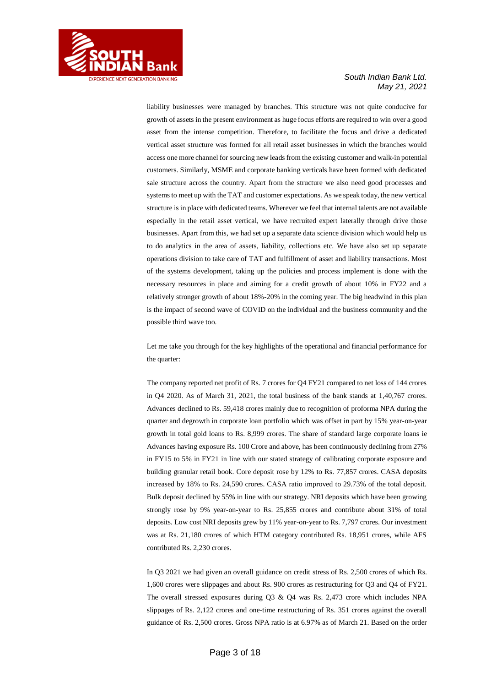

liability businesses were managed by branches. This structure was not quite conducive for growth of assets in the present environment as huge focus efforts are required to win over a good asset from the intense competition. Therefore, to facilitate the focus and drive a dedicated vertical asset structure was formed for all retail asset businesses in which the branches would access one more channel for sourcing new leadsfrom the existing customer and walk-in potential customers. Similarly, MSME and corporate banking verticals have been formed with dedicated sale structure across the country. Apart from the structure we also need good processes and systems to meet up with the TAT and customer expectations. As we speak today, the new vertical structure is in place with dedicated teams. Wherever we feel that internal talents are not available especially in the retail asset vertical, we have recruited expert laterally through drive those businesses. Apart from this, we had set up a separate data science division which would help us to do analytics in the area of assets, liability, collections etc. We have also set up separate operations division to take care of TAT and fulfillment of asset and liability transactions. Most of the systems development, taking up the policies and process implement is done with the necessary resources in place and aiming for a credit growth of about 10% in FY22 and a relatively stronger growth of about 18%-20% in the coming year. The big headwind in this plan is the impact of second wave of COVID on the individual and the business community and the possible third wave too.

Let me take you through for the key highlights of the operational and financial performance for the quarter:

The company reported net profit of Rs. 7 crores for Q4 FY21 compared to net loss of 144 crores in Q4 2020. As of March 31, 2021, the total business of the bank stands at 1,40,767 crores. Advances declined to Rs. 59,418 crores mainly due to recognition of proforma NPA during the quarter and degrowth in corporate loan portfolio which was offset in part by 15% year-on-year growth in total gold loans to Rs. 8,999 crores. The share of standard large corporate loans ie Advances having exposure Rs. 100 Crore and above, has been continuously declining from 27% in FY15 to 5% in FY21 in line with our stated strategy of calibrating corporate exposure and building granular retail book. Core deposit rose by 12% to Rs. 77,857 crores. CASA deposits increased by 18% to Rs. 24,590 crores. CASA ratio improved to 29.73% of the total deposit. Bulk deposit declined by 55% in line with our strategy. NRI deposits which have been growing strongly rose by 9% year-on-year to Rs. 25,855 crores and contribute about 31% of total deposits. Low cost NRI deposits grew by 11% year-on-year to Rs. 7,797 crores. Our investment was at Rs. 21,180 crores of which HTM category contributed Rs. 18,951 crores, while AFS contributed Rs. 2,230 crores.

In Q3 2021 we had given an overall guidance on credit stress of Rs. 2,500 crores of which Rs. 1,600 crores were slippages and about Rs. 900 crores as restructuring for Q3 and Q4 of FY21. The overall stressed exposures during Q3 & Q4 was Rs. 2,473 crore which includes NPA slippages of Rs. 2,122 crores and one-time restructuring of Rs. 351 crores against the overall guidance of Rs. 2,500 crores. Gross NPA ratio is at 6.97% as of March 21. Based on the order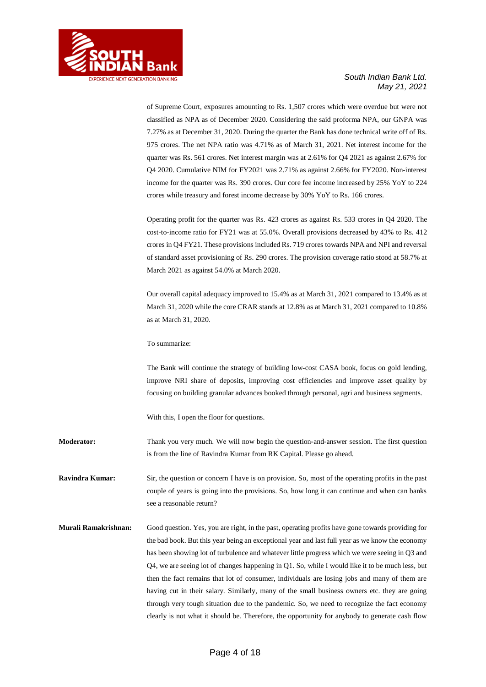

of Supreme Court, exposures amounting to Rs. 1,507 crores which were overdue but were not classified as NPA as of December 2020. Considering the said proforma NPA, our GNPA was 7.27% as at December 31, 2020. During the quarter the Bank has done technical write off of Rs. 975 crores. The net NPA ratio was 4.71% as of March 31, 2021. Net interest income for the quarter was Rs. 561 crores. Net interest margin was at 2.61% for Q4 2021 as against 2.67% for Q4 2020. Cumulative NIM for FY2021 was 2.71% as against 2.66% for FY2020. Non-interest income for the quarter was Rs. 390 crores. Our core fee income increased by 25% YoY to 224 crores while treasury and forest income decrease by 30% YoY to Rs. 166 crores.

Operating profit for the quarter was Rs. 423 crores as against Rs. 533 crores in Q4 2020. The cost-to-income ratio for FY21 was at 55.0%. Overall provisions decreased by 43% to Rs. 412 crores in Q4 FY21. These provisions included Rs. 719 crores towards NPA and NPI and reversal of standard asset provisioning of Rs. 290 crores. The provision coverage ratio stood at 58.7% at March 2021 as against 54.0% at March 2020.

Our overall capital adequacy improved to 15.4% as at March 31, 2021 compared to 13.4% as at March 31, 2020 while the core CRAR stands at 12.8% as at March 31, 2021 compared to 10.8% as at March 31, 2020.

To summarize:

The Bank will continue the strategy of building low-cost CASA book, focus on gold lending, improve NRI share of deposits, improving cost efficiencies and improve asset quality by focusing on building granular advances booked through personal, agri and business segments.

With this, I open the floor for questions.

**Moderator:** Thank you very much. We will now begin the question-and-answer session. The first question is from the line of Ravindra Kumar from RK Capital. Please go ahead.

**Ravindra Kumar:** Sir, the question or concern I have is on provision. So, most of the operating profits in the past couple of years is going into the provisions. So, how long it can continue and when can banks see a reasonable return?

**Murali Ramakrishnan:** Good question. Yes, you are right, in the past, operating profits have gone towards providing for the bad book. But this year being an exceptional year and last full year as we know the economy has been showing lot of turbulence and whatever little progress which we were seeing in Q3 and Q4, we are seeing lot of changes happening in Q1. So, while I would like it to be much less, but then the fact remains that lot of consumer, individuals are losing jobs and many of them are having cut in their salary. Similarly, many of the small business owners etc. they are going through very tough situation due to the pandemic. So, we need to recognize the fact economy clearly is not what it should be. Therefore, the opportunity for anybody to generate cash flow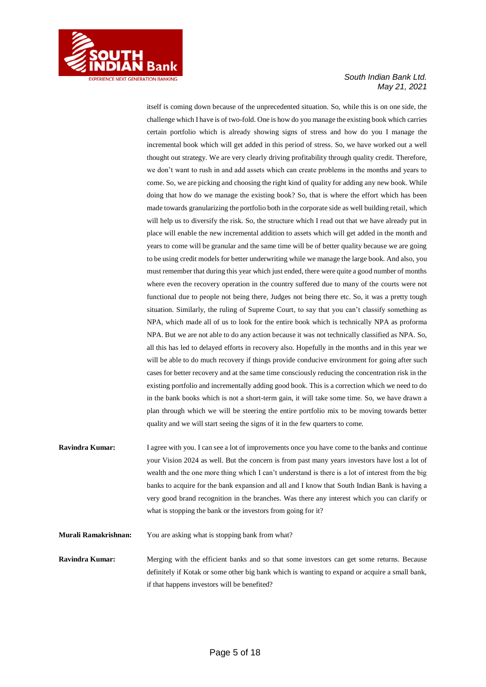

itself is coming down because of the unprecedented situation. So, while this is on one side, the challenge which I have is of two-fold. One is how do you manage the existing book which carries certain portfolio which is already showing signs of stress and how do you I manage the incremental book which will get added in this period of stress. So, we have worked out a well thought out strategy. We are very clearly driving profitability through quality credit. Therefore, we don't want to rush in and add assets which can create problems in the months and years to come. So, we are picking and choosing the right kind of quality for adding any new book. While doing that how do we manage the existing book? So, that is where the effort which has been made towards granularizing the portfolio both in the corporate side as well building retail, which will help us to diversify the risk. So, the structure which I read out that we have already put in place will enable the new incremental addition to assets which will get added in the month and years to come will be granular and the same time will be of better quality because we are going to be using credit models for better underwriting while we manage the large book. And also, you must remember that during this year which just ended, there were quite a good number of months where even the recovery operation in the country suffered due to many of the courts were not functional due to people not being there, Judges not being there etc. So, it was a pretty tough situation. Similarly, the ruling of Supreme Court, to say that you can't classify something as NPA, which made all of us to look for the entire book which is technically NPA as proforma NPA. But we are not able to do any action because it was not technically classified as NPA. So, all this has led to delayed efforts in recovery also. Hopefully in the months and in this year we will be able to do much recovery if things provide conducive environment for going after such cases for better recovery and at the same time consciously reducing the concentration risk in the existing portfolio and incrementally adding good book. This is a correction which we need to do in the bank books which is not a short-term gain, it will take some time. So, we have drawn a plan through which we will be steering the entire portfolio mix to be moving towards better quality and we will start seeing the signs of it in the few quarters to come.

**Ravindra Kumar:** I agree with you. I can see a lot of improvements once you have come to the banks and continue your Vision 2024 as well. But the concern is from past many years investors have lost a lot of wealth and the one more thing which I can't understand is there is a lot of interest from the big banks to acquire for the bank expansion and all and I know that South Indian Bank is having a very good brand recognition in the branches. Was there any interest which you can clarify or what is stopping the bank or the investors from going for it?

**Murali Ramakrishnan:** You are asking what is stopping bank from what?

**Ravindra Kumar:** Merging with the efficient banks and so that some investors can get some returns. Because definitely if Kotak or some other big bank which is wanting to expand or acquire a small bank, if that happens investors will be benefited?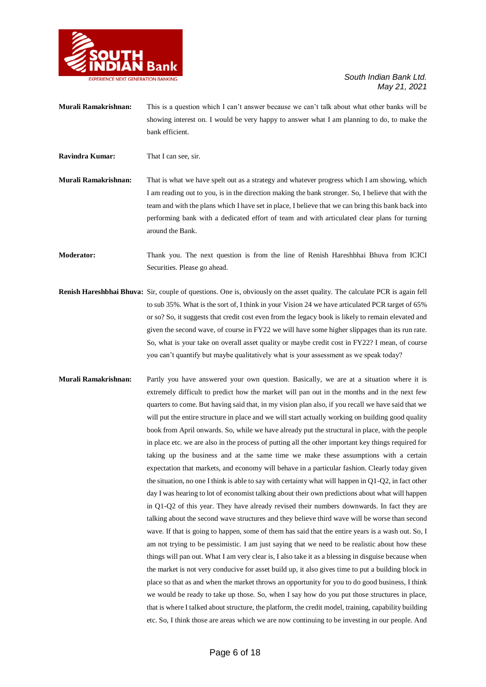

- **Murali Ramakrishnan:** This is a question which I can't answer because we can't talk about what other banks will be showing interest on. I would be very happy to answer what I am planning to do, to make the bank efficient.
- **Ravindra Kumar:** That I can see, sir.
- **Murali Ramakrishnan:** That is what we have spelt out as a strategy and whatever progress which I am showing, which I am reading out to you, is in the direction making the bank stronger. So, I believe that with the team and with the plans which I have set in place, I believe that we can bring this bank back into performing bank with a dedicated effort of team and with articulated clear plans for turning around the Bank.
- **Moderator:** Thank you. The next question is from the line of Renish Hareshbhai Bhuva from ICICI Securities. Please go ahead.
- **Renish Hareshbhai Bhuva:** Sir, couple of questions. One is, obviously on the asset quality. The calculate PCR is again fell to sub 35%. What is the sort of, I think in your Vision 24 we have articulated PCR target of 65% or so? So, it suggests that credit cost even from the legacy book is likely to remain elevated and given the second wave, of course in FY22 we will have some higher slippages than its run rate. So, what is your take on overall asset quality or maybe credit cost in FY22? I mean, of course you can't quantify but maybe qualitatively what is your assessment as we speak today?
- **Murali Ramakrishnan:** Partly you have answered your own question. Basically, we are at a situation where it is extremely difficult to predict how the market will pan out in the months and in the next few quarters to come. But having said that, in my vision plan also, if you recall we have said that we will put the entire structure in place and we will start actually working on building good quality book from April onwards. So, while we have already put the structural in place, with the people in place etc. we are also in the process of putting all the other important key things required for taking up the business and at the same time we make these assumptions with a certain expectation that markets, and economy will behave in a particular fashion. Clearly today given the situation, no one I think is able to say with certainty what will happen in Q1-Q2, in fact other day I was hearing to lot of economist talking about their own predictions about what will happen in Q1-Q2 of this year. They have already revised their numbers downwards. In fact they are talking about the second wave structures and they believe third wave will be worse than second wave. If that is going to happen, some of them has said that the entire years is a wash out. So, I am not trying to be pessimistic. I am just saying that we need to be realistic about how these things will pan out. What I am very clear is, I also take it as a blessing in disguise because when the market is not very conducive for asset build up, it also gives time to put a building block in place so that as and when the market throws an opportunity for you to do good business, I think we would be ready to take up those. So, when I say how do you put those structures in place, that is where I talked about structure, the platform, the credit model, training, capability building etc. So, I think those are areas which we are now continuing to be investing in our people. And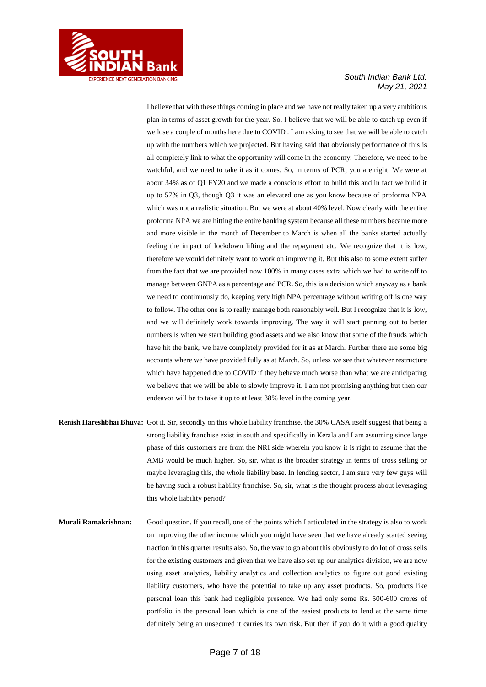

I believe that with these things coming in place and we have not really taken up a very ambitious plan in terms of asset growth for the year. So, I believe that we will be able to catch up even if we lose a couple of months here due to COVID . I am asking to see that we will be able to catch up with the numbers which we projected. But having said that obviously performance of this is all completely link to what the opportunity will come in the economy. Therefore, we need to be watchful, and we need to take it as it comes. So, in terms of PCR, you are right. We were at about 34% as of Q1 FY20 and we made a conscious effort to build this and in fact we build it up to 57% in Q3, though Q3 it was an elevated one as you know because of proforma NPA which was not a realistic situation. But we were at about 40% level. Now clearly with the entire proforma NPA we are hitting the entire banking system because all these numbers became more and more visible in the month of December to March is when all the banks started actually feeling the impact of lockdown lifting and the repayment etc. We recognize that it is low, therefore we would definitely want to work on improving it. But this also to some extent suffer from the fact that we are provided now 100% in many cases extra which we had to write off to manage between GNPA as a percentage and PCR**.** So, this is a decision which anyway as a bank we need to continuously do, keeping very high NPA percentage without writing off is one way to follow. The other one is to really manage both reasonably well. But I recognize that it is low, and we will definitely work towards improving. The way it will start panning out to better numbers is when we start building good assets and we also know that some of the frauds which have hit the bank, we have completely provided for it as at March. Further there are some big accounts where we have provided fully as at March. So, unless we see that whatever restructure which have happened due to COVID if they behave much worse than what we are anticipating we believe that we will be able to slowly improve it. I am not promising anything but then our endeavor will be to take it up to at least 38% level in the coming year.

- **Renish Hareshbhai Bhuva:** Got it. Sir, secondly on this whole liability franchise, the 30% CASA itself suggest that being a strong liability franchise exist in south and specifically in Kerala and I am assuming since large phase of this customers are from the NRI side wherein you know it is right to assume that the AMB would be much higher. So, sir, what is the broader strategy in terms of cross selling or maybe leveraging this, the whole liability base. In lending sector, I am sure very few guys will be having such a robust liability franchise. So, sir, what is the thought process about leveraging this whole liability period?
- **Murali Ramakrishnan:** Good question. If you recall, one of the points which I articulated in the strategy is also to work on improving the other income which you might have seen that we have already started seeing traction in this quarter results also. So, the way to go about this obviously to do lot of cross sells for the existing customers and given that we have also set up our analytics division, we are now using asset analytics, liability analytics and collection analytics to figure out good existing liability customers, who have the potential to take up any asset products. So, products like personal loan this bank had negligible presence. We had only some Rs. 500-600 crores of portfolio in the personal loan which is one of the easiest products to lend at the same time definitely being an unsecured it carries its own risk. But then if you do it with a good quality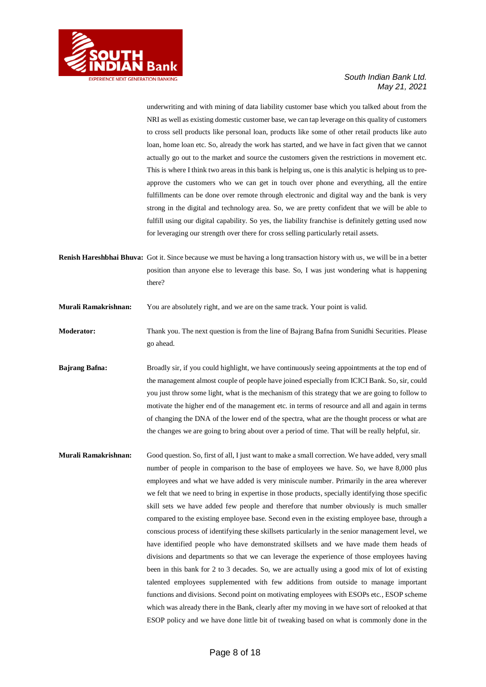

underwriting and with mining of data liability customer base which you talked about from the NRI as well as existing domestic customer base, we can tap leverage on this quality of customers to cross sell products like personal loan, products like some of other retail products like auto loan, home loan etc. So, already the work has started, and we have in fact given that we cannot actually go out to the market and source the customers given the restrictions in movement etc. This is where I think two areas in this bank is helping us, one is this analytic is helping us to preapprove the customers who we can get in touch over phone and everything, all the entire fulfillments can be done over remote through electronic and digital way and the bank is very strong in the digital and technology area. So, we are pretty confident that we will be able to fulfill using our digital capability. So yes, the liability franchise is definitely getting used now for leveraging our strength over there for cross selling particularly retail assets.

**Renish Hareshbhai Bhuva:** Got it. Since because we must be having a long transaction history with us, we will be in a better position than anyone else to leverage this base. So, I was just wondering what is happening there?

**Murali Ramakrishnan:** You are absolutely right, and we are on the same track. Your point is valid.

- **Moderator:** Thank you. The next question is from the line of Bajrang Bafna from Sunidhi Securities. Please go ahead.
- **Bajrang Bafna:** Broadly sir, if you could highlight, we have continuously seeing appointments at the top end of the management almost couple of people have joined especially from ICICI Bank. So, sir, could you just throw some light, what is the mechanism of this strategy that we are going to follow to motivate the higher end of the management etc. in terms of resource and all and again in terms of changing the DNA of the lower end of the spectra, what are the thought process or what are the changes we are going to bring about over a period of time. That will be really helpful, sir.
- **Murali Ramakrishnan:** Good question. So, first of all, I just want to make a small correction. We have added, very small number of people in comparison to the base of employees we have. So, we have 8,000 plus employees and what we have added is very miniscule number. Primarily in the area wherever we felt that we need to bring in expertise in those products, specially identifying those specific skill sets we have added few people and therefore that number obviously is much smaller compared to the existing employee base. Second even in the existing employee base, through a conscious process of identifying these skillsets particularly in the senior management level, we have identified people who have demonstrated skillsets and we have made them heads of divisions and departments so that we can leverage the experience of those employees having been in this bank for 2 to 3 decades. So, we are actually using a good mix of lot of existing talented employees supplemented with few additions from outside to manage important functions and divisions. Second point on motivating employees with ESOPs etc., ESOP scheme which was already there in the Bank, clearly after my moving in we have sort of relooked at that ESOP policy and we have done little bit of tweaking based on what is commonly done in the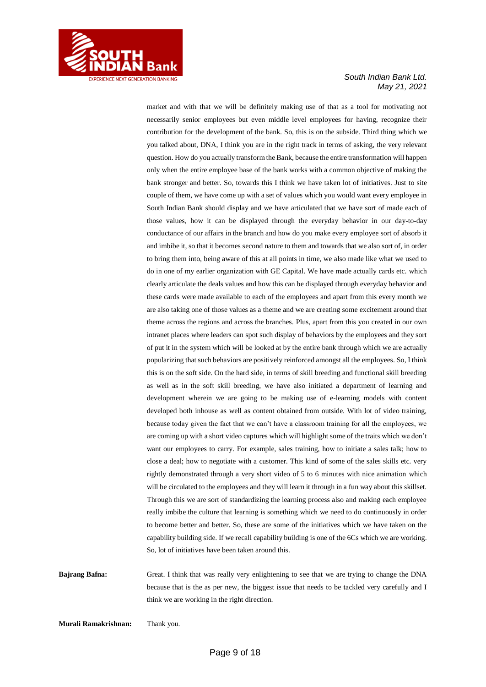

market and with that we will be definitely making use of that as a tool for motivating not necessarily senior employees but even middle level employees for having, recognize their contribution for the development of the bank. So, this is on the subside. Third thing which we you talked about, DNA, I think you are in the right track in terms of asking, the very relevant question. How do you actually transform the Bank, because the entire transformation will happen only when the entire employee base of the bank works with a common objective of making the bank stronger and better. So, towards this I think we have taken lot of initiatives. Just to site couple of them, we have come up with a set of values which you would want every employee in South Indian Bank should display and we have articulated that we have sort of made each of those values, how it can be displayed through the everyday behavior in our day-to-day conductance of our affairs in the branch and how do you make every employee sort of absorb it and imbibe it, so that it becomes second nature to them and towards that we also sort of, in order to bring them into, being aware of this at all points in time, we also made like what we used to do in one of my earlier organization with GE Capital. We have made actually cards etc. which clearly articulate the deals values and how this can be displayed through everyday behavior and these cards were made available to each of the employees and apart from this every month we are also taking one of those values as a theme and we are creating some excitement around that theme across the regions and across the branches. Plus, apart from this you created in our own intranet places where leaders can spot such display of behaviors by the employees and they sort of put it in the system which will be looked at by the entire bank through which we are actually popularizing that such behaviors are positively reinforced amongst all the employees. So, I think this is on the soft side. On the hard side, in terms of skill breeding and functional skill breeding as well as in the soft skill breeding, we have also initiated a department of learning and development wherein we are going to be making use of e-learning models with content developed both inhouse as well as content obtained from outside. With lot of video training, because today given the fact that we can't have a classroom training for all the employees, we are coming up with a short video captures which will highlight some of the traits which we don't want our employees to carry. For example, sales training, how to initiate a sales talk; how to close a deal; how to negotiate with a customer. This kind of some of the sales skills etc. very rightly demonstrated through a very short video of 5 to 6 minutes with nice animation which will be circulated to the employees and they will learn it through in a fun way about this skillset. Through this we are sort of standardizing the learning process also and making each employee really imbibe the culture that learning is something which we need to do continuously in order to become better and better. So, these are some of the initiatives which we have taken on the capability building side. If we recall capability building is one of the 6Cs which we are working. So, lot of initiatives have been taken around this.

**Bajrang Bafna:** Great. I think that was really very enlightening to see that we are trying to change the DNA because that is the as per new, the biggest issue that needs to be tackled very carefully and I think we are working in the right direction.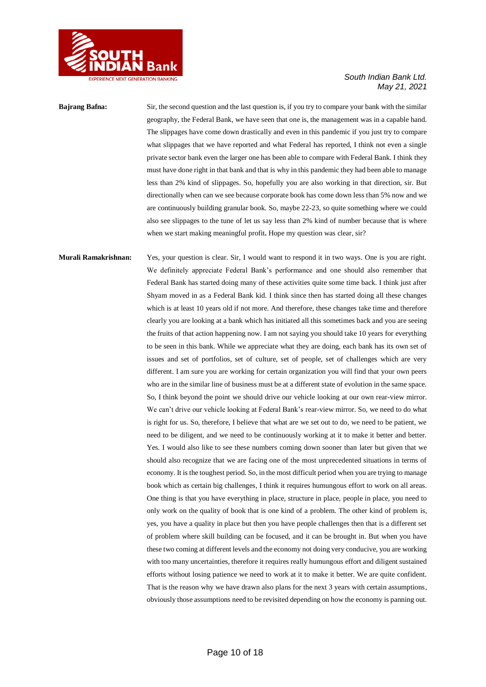

## **Bajrang Bafna:** Sir, the second question and the last question is, if you try to compare your bank with the similar geography, the Federal Bank, we have seen that one is, the management was in a capable hand. The slippages have come down drastically and even in this pandemic if you just try to compare what slippages that we have reported and what Federal has reported, I think not even a single private sector bank even the larger one has been able to compare with Federal Bank. I think they must have done right in that bank and that is why in this pandemic they had been able to manage less than 2% kind of slippages. So, hopefully you are also working in that direction, sir. But directionally when can we see because corporate book has come down less than 5% now and we are continuously building granular book. So, maybe 22-23, so quite something where we could also see slippages to the tune of let us say less than 2% kind of number because that is where when we start making meaningful profit**.** Hope my question was clear, sir?

## **Murali Ramakrishnan:** Yes, your question is clear. Sir, I would want to respond it in two ways. One is you are right. We definitely appreciate Federal Bank's performance and one should also remember that Federal Bank has started doing many of these activities quite some time back. I think just after Shyam moved in as a Federal Bank kid. I think since then has started doing all these changes which is at least 10 years old if not more. And therefore, these changes take time and therefore clearly you are looking at a bank which has initiated all this sometimes back and you are seeing the fruits of that action happening now. I am not saying you should take 10 years for everything to be seen in this bank. While we appreciate what they are doing, each bank has its own set of issues and set of portfolios, set of culture, set of people, set of challenges which are very different. I am sure you are working for certain organization you will find that your own peers who are in the similar line of business must be at a different state of evolution in the same space. So, I think beyond the point we should drive our vehicle looking at our own rear-view mirror. We can't drive our vehicle looking at Federal Bank's rear-view mirror. So, we need to do what is right for us. So, therefore, I believe that what are we set out to do, we need to be patient, we need to be diligent, and we need to be continuously working at it to make it better and better. Yes. I would also like to see these numbers coming down sooner than later but given that we should also recognize that we are facing one of the most unprecedented situations in terms of economy. It is the toughest period. So, in the most difficult period when you are trying to manage book which as certain big challenges, I think it requires humungous effort to work on all areas. One thing is that you have everything in place, structure in place, people in place, you need to only work on the quality of book that is one kind of a problem. The other kind of problem is, yes, you have a quality in place but then you have people challenges then that is a different set of problem where skill building can be focused, and it can be brought in. But when you have these two coming at different levels and the economy not doing very conducive, you are working with too many uncertainties, therefore it requires really humungous effort and diligent sustained efforts without losing patience we need to work at it to make it better. We are quite confident. That is the reason why we have drawn also plans for the next 3 years with certain assumptions, obviously those assumptions need to be revisited depending on how the economy is panning out.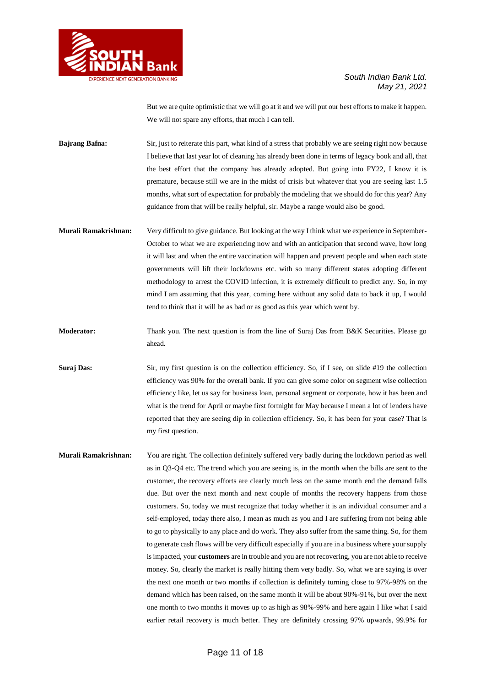

But we are quite optimistic that we will go at it and we will put our best efforts to make it happen. We will not spare any efforts, that much I can tell.

**Bajrang Bafna:** Sir, just to reiterate this part, what kind of a stress that probably we are seeing right now because I believe that last year lot of cleaning has already been done in terms of legacy book and all, that the best effort that the company has already adopted. But going into FY22, I know it is premature, because still we are in the midst of crisis but whatever that you are seeing last 1.5 months, what sort of expectation for probably the modeling that we should do for this year? Any guidance from that will be really helpful, sir. Maybe a range would also be good.

- **Murali Ramakrishnan:** Very difficult to give guidance. But looking at the way I think what we experience in September-October to what we are experiencing now and with an anticipation that second wave, how long it will last and when the entire vaccination will happen and prevent people and when each state governments will lift their lockdowns etc. with so many different states adopting different methodology to arrest the COVID infection, it is extremely difficult to predict any. So, in my mind I am assuming that this year, coming here without any solid data to back it up, I would tend to think that it will be as bad or as good as this year which went by.
- **Moderator:** Thank you. The next question is from the line of Suraj Das from B&K Securities. Please go ahead.
- **Suraj Das:** Sir, my first question is on the collection efficiency. So, if I see, on slide #19 the collection efficiency was 90% for the overall bank. If you can give some color on segment wise collection efficiency like, let us say for business loan, personal segment or corporate, how it has been and what is the trend for April or maybe first fortnight for May because I mean a lot of lenders have reported that they are seeing dip in collection efficiency. So, it has been for your case? That is my first question.
- **Murali Ramakrishnan:** You are right. The collection definitely suffered very badly during the lockdown period as well as in Q3-Q4 etc. The trend which you are seeing is, in the month when the bills are sent to the customer, the recovery efforts are clearly much less on the same month end the demand falls due. But over the next month and next couple of months the recovery happens from those customers. So, today we must recognize that today whether it is an individual consumer and a self-employed, today there also, I mean as much as you and I are suffering from not being able to go to physically to any place and do work. They also suffer from the same thing. So, for them to generate cash flows will be very difficult especially if you are in a business where your supply is impacted, your **customers** are in trouble and you are not recovering, you are not able to receive money. So, clearly the market is really hitting them very badly. So, what we are saying is over the next one month or two months if collection is definitely turning close to 97%-98% on the demand which has been raised, on the same month it will be about 90%-91%, but over the next one month to two months it moves up to as high as 98%-99% and here again I like what I said earlier retail recovery is much better. They are definitely crossing 97% upwards, 99.9% for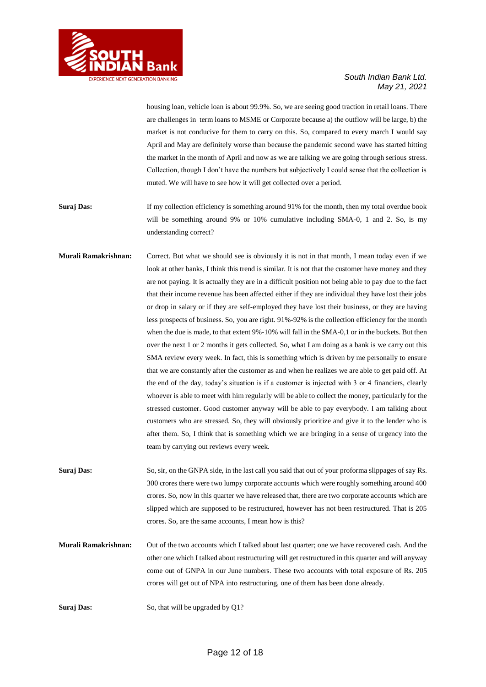

housing loan, vehicle loan is about 99.9%. So, we are seeing good traction in retail loans. There are challenges in term loans to MSME or Corporate because a) the outflow will be large, b) the market is not conducive for them to carry on this. So, compared to every march I would say April and May are definitely worse than because the pandemic second wave has started hitting the market in the month of April and now as we are talking we are going through serious stress. Collection, though I don't have the numbers but subjectively I could sense that the collection is muted. We will have to see how it will get collected over a period.

**Suraj Das:** If my collection efficiency is something around 91% for the month, then my total overdue book will be something around 9% or 10% cumulative including SMA-0, 1 and 2. So, is my understanding correct?

**Murali Ramakrishnan:** Correct. But what we should see is obviously it is not in that month, I mean today even if we look at other banks, I think this trend is similar. It is not that the customer have money and they are not paying. It is actually they are in a difficult position not being able to pay due to the fact that their income revenue has been affected either if they are individual they have lost their jobs or drop in salary or if they are self-employed they have lost their business, or they are having less prospects of business. So, you are right. 91%-92% is the collection efficiency for the month when the due is made, to that extent 9%-10% will fall in the SMA-0,1 or in the buckets. But then over the next 1 or 2 months it gets collected. So, what I am doing as a bank is we carry out this SMA review every week. In fact, this is something which is driven by me personally to ensure that we are constantly after the customer as and when he realizes we are able to get paid off. At the end of the day, today's situation is if a customer is injected with 3 or 4 financiers, clearly whoever is able to meet with him regularly will be able to collect the money, particularly for the stressed customer. Good customer anyway will be able to pay everybody. I am talking about customers who are stressed. So, they will obviously prioritize and give it to the lender who is after them. So, I think that is something which we are bringing in a sense of urgency into the team by carrying out reviews every week.

**Suraj Das:** So, sir, on the GNPA side, in the last call you said that out of your proforma slippages of say Rs. 300 crores there were two lumpy corporate accounts which were roughly something around 400 crores. So, now in this quarter we have released that, there are two corporate accounts which are slipped which are supposed to be restructured, however has not been restructured. That is 205 crores. So, are the same accounts, I mean how is this?

**Murali Ramakrishnan:** Out of the two accounts which I talked about last quarter; one we have recovered cash. And the other one which I talked about restructuring will get restructured in this quarter and will anyway come out of GNPA in our June numbers. These two accounts with total exposure of Rs. 205 crores will get out of NPA into restructuring, one of them has been done already.

**Suraj Das:** So, that will be upgraded by Q1?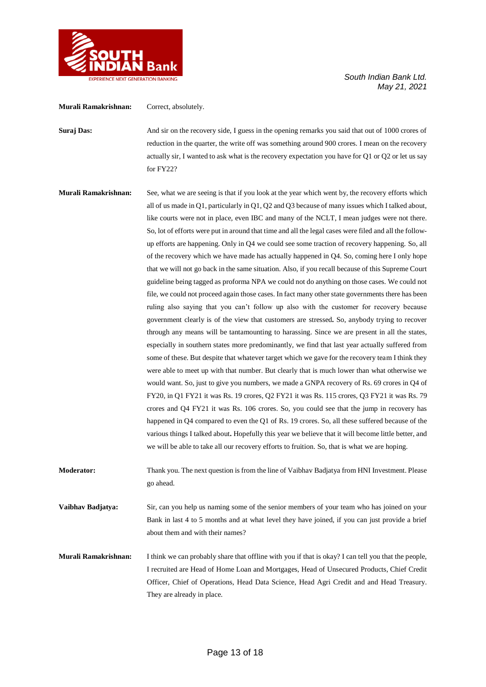

## **Murali Ramakrishnan:** Correct, absolutely.

**Suraj Das:** And sir on the recovery side, I guess in the opening remarks you said that out of 1000 crores of reduction in the quarter, the write off was something around 900 crores. I mean on the recovery actually sir, I wanted to ask what is the recovery expectation you have for Q1 or Q2 or let us say for FY22?

**Murali Ramakrishnan:** See, what we are seeing is that if you look at the year which went by, the recovery efforts which all of us made in Q1, particularly in Q1, Q2 and Q3 because of many issues which I talked about, like courts were not in place, even IBC and many of the NCLT, I mean judges were not there. So, lot of efforts were put in around that time and all the legal cases were filed and all the followup efforts are happening. Only in Q4 we could see some traction of recovery happening. So, all of the recovery which we have made has actually happened in Q4. So, coming here I only hope that we will not go back in the same situation. Also, if you recall because of this Supreme Court guideline being tagged as proforma NPA we could not do anything on those cases. We could not file, we could not proceed again those cases. In fact many other state governments there has been ruling also saying that you can't follow up also with the customer for recovery because government clearly is of the view that customers are stressed**.** So, anybody trying to recover through any means will be tantamounting to harassing. Since we are present in all the states, especially in southern states more predominantly, we find that last year actually suffered from some of these. But despite that whatever target which we gave for the recovery team I think they were able to meet up with that number. But clearly that is much lower than what otherwise we would want. So, just to give you numbers, we made a GNPA recovery of Rs. 69 crores in Q4 of FY20, in Q1 FY21 it was Rs. 19 crores, Q2 FY21 it was Rs. 115 crores, Q3 FY21 it was Rs. 79 crores and Q4 FY21 it was Rs. 106 crores. So, you could see that the jump in recovery has happened in Q4 compared to even the Q1 of Rs. 19 crores. So, all these suffered because of the various things I talked about**.** Hopefully this year we believe that it will become little better, and we will be able to take all our recovery efforts to fruition. So, that is what we are hoping.

**Moderator:** Thank you. The next question is from the line of Vaibhav Badjatya from HNI Investment. Please go ahead.

**Vaibhav Badjatya:** Sir, can you help us naming some of the senior members of your team who has joined on your Bank in last 4 to 5 months and at what level they have joined, if you can just provide a brief about them and with their names?

**Murali Ramakrishnan:** I think we can probably share that offline with you if that is okay? I can tell you that the people, I recruited are Head of Home Loan and Mortgages, Head of Unsecured Products, Chief Credit Officer, Chief of Operations, Head Data Science, Head Agri Credit and and Head Treasury. They are already in place.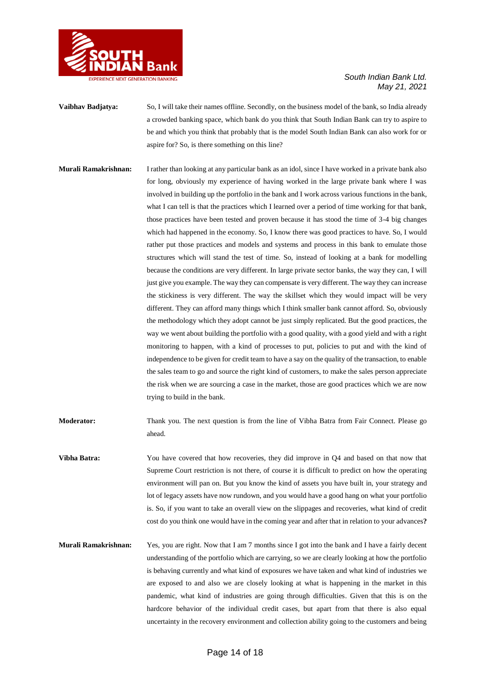

- **Vaibhav Badjatya:** So, I will take their names offline. Secondly, on the business model of the bank, so India already a crowded banking space, which bank do you think that South Indian Bank can try to aspire to be and which you think that probably that is the model South Indian Bank can also work for or aspire for? So, is there something on this line?
- **Murali Ramakrishnan:** I rather than looking at any particular bank as an idol, since I have worked in a private bank also for long, obviously my experience of having worked in the large private bank where I was involved in building up the portfolio in the bank and I work across various functions in the bank, what I can tell is that the practices which I learned over a period of time working for that bank, those practices have been tested and proven because it has stood the time of 3-4 big changes which had happened in the economy. So, I know there was good practices to have. So, I would rather put those practices and models and systems and process in this bank to emulate those structures which will stand the test of time. So, instead of looking at a bank for modelling because the conditions are very different. In large private sector banks, the way they can, I will just give you example. The way they can compensate is very different. The way they can increase the stickiness is very different. The way the skillset which they would impact will be very different. They can afford many things which I think smaller bank cannot afford. So, obviously the methodology which they adopt cannot be just simply replicated. But the good practices, the way we went about building the portfolio with a good quality, with a good yield and with a right monitoring to happen, with a kind of processes to put, policies to put and with the kind of independence to be given for credit team to have a say on the quality of the transaction, to enable the sales team to go and source the right kind of customers, to make the sales person appreciate the risk when we are sourcing a case in the market, those are good practices which we are now trying to build in the bank.
- **Moderator:** Thank you. The next question is from the line of Vibha Batra from Fair Connect. Please go ahead.
- **Vibha Batra:** You have covered that how recoveries, they did improve in Q4 and based on that now that Supreme Court restriction is not there, of course it is difficult to predict on how the operating environment will pan on. But you know the kind of assets you have built in, your strategy and lot of legacy assets have now rundown, and you would have a good hang on what your portfolio is. So, if you want to take an overall view on the slippages and recoveries, what kind of credit cost do you think one would have in the coming year and after that in relation to your advances**?**
- **Murali Ramakrishnan:** Yes, you are right. Now that I am 7 months since I got into the bank and I have a fairly decent understanding of the portfolio which are carrying, so we are clearly looking at how the portfolio is behaving currently and what kind of exposures we have taken and what kind of industries we are exposed to and also we are closely looking at what is happening in the market in this pandemic, what kind of industries are going through difficulties. Given that this is on the hardcore behavior of the individual credit cases, but apart from that there is also equal uncertainty in the recovery environment and collection ability going to the customers and being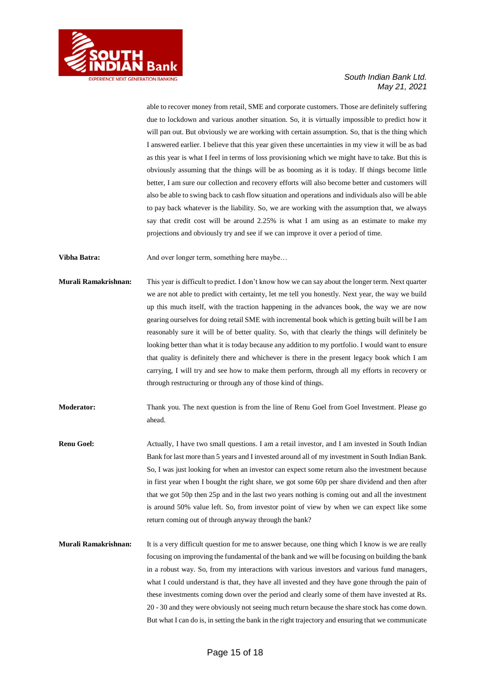

able to recover money from retail, SME and corporate customers. Those are definitely suffering due to lockdown and various another situation. So, it is virtually impossible to predict how it will pan out. But obviously we are working with certain assumption. So, that is the thing which I answered earlier. I believe that this year given these uncertainties in my view it will be as bad as this year is what I feel in terms of loss provisioning which we might have to take. But this is obviously assuming that the things will be as booming as it is today. If things become little better, I am sure our collection and recovery efforts will also become better and customers will also be able to swing back to cash flow situation and operations and individuals also will be able to pay back whatever is the liability. So, we are working with the assumption that, we always say that credit cost will be around 2.25% is what I am using as an estimate to make my projections and obviously try and see if we can improve it over a period of time.

**Vibha Batra:** And over longer term, something here maybe...

- **Murali Ramakrishnan:** This year is difficult to predict. I don't know how we can say about the longer term. Next quarter we are not able to predict with certainty, let me tell you honestly. Next year, the way we build up this much itself, with the traction happening in the advances book, the way we are now gearing ourselves for doing retail SME with incremental book which is getting built will be I am reasonably sure it will be of better quality. So, with that clearly the things will definitely be looking better than what it is today because any addition to my portfolio. I would want to ensure that quality is definitely there and whichever is there in the present legacy book which I am carrying, I will try and see how to make them perform, through all my efforts in recovery or through restructuring or through any of those kind of things.
- **Moderator:** Thank you. The next question is from the line of Renu Goel from Goel Investment. Please go ahead.
- **Renu Goel:** Actually, I have two small questions. I am a retail investor, and I am invested in South Indian Bank for last more than 5 years and I invested around all of my investment in South Indian Bank. So, I was just looking for when an investor can expect some return also the investment because in first year when I bought the right share, we got some 60p per share dividend and then after that we got 50p then 25p and in the last two years nothing is coming out and all the investment is around 50% value left. So, from investor point of view by when we can expect like some return coming out of through anyway through the bank?
- **Murali Ramakrishnan:** It is a very difficult question for me to answer because, one thing which I know is we are really focusing on improving the fundamental of the bank and we will be focusing on building the bank in a robust way. So, from my interactions with various investors and various fund managers, what I could understand is that, they have all invested and they have gone through the pain of these investments coming down over the period and clearly some of them have invested at Rs. 20 - 30 and they were obviously not seeing much return because the share stock has come down. But what I can do is, in setting the bank in the right trajectory and ensuring that we communicate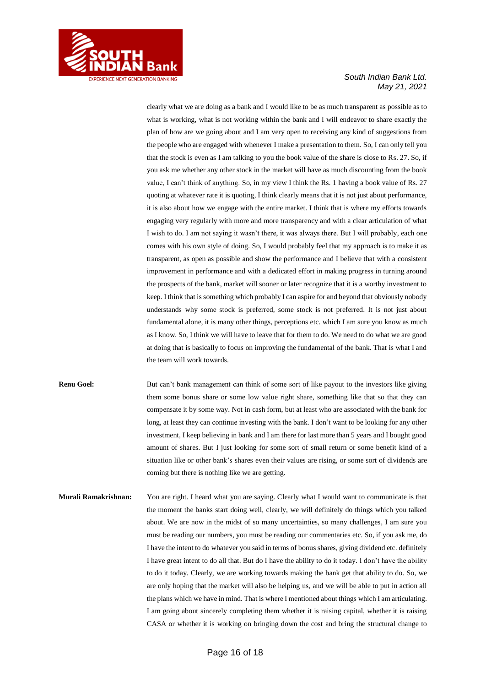

clearly what we are doing as a bank and I would like to be as much transparent as possible as to what is working, what is not working within the bank and I will endeavor to share exactly the plan of how are we going about and I am very open to receiving any kind of suggestions from the people who are engaged with whenever I make a presentation to them. So, I can only tell you that the stock is even as I am talking to you the book value of the share is close to Rs. 27. So, if you ask me whether any other stock in the market will have as much discounting from the book value, I can't think of anything. So, in my view I think the Rs. 1 having a book value of Rs. 27 quoting at whatever rate it is quoting, I think clearly means that it is not just about performance, it is also about how we engage with the entire market. I think that is where my efforts towards engaging very regularly with more and more transparency and with a clear articulation of what I wish to do. I am not saying it wasn't there, it was always there. But I will probably, each one comes with his own style of doing. So, I would probably feel that my approach is to make it as transparent, as open as possible and show the performance and I believe that with a consistent improvement in performance and with a dedicated effort in making progress in turning around the prospects of the bank, market will sooner or later recognize that it is a worthy investment to keep. I think that is something which probably I can aspire for and beyond that obviously nobody understands why some stock is preferred, some stock is not preferred. It is not just about fundamental alone, it is many other things, perceptions etc. which I am sure you know as much as I know. So, I think we will have to leave that for them to do. We need to do what we are good at doing that is basically to focus on improving the fundamental of the bank. That is what I and the team will work towards.

**Renu Goel:** But can't bank management can think of some sort of like payout to the investors like giving them some bonus share or some low value right share, something like that so that they can compensate it by some way. Not in cash form, but at least who are associated with the bank for long, at least they can continue investing with the bank. I don't want to be looking for any other investment, I keep believing in bank and I am there for last more than 5 years and I bought good amount of shares. But I just looking for some sort of small return or some benefit kind of a situation like or other bank's shares even their values are rising, or some sort of dividends are coming but there is nothing like we are getting.

**Murali Ramakrishnan:** You are right. I heard what you are saying. Clearly what I would want to communicate is that the moment the banks start doing well, clearly, we will definitely do things which you talked about. We are now in the midst of so many uncertainties, so many challenges, I am sure you must be reading our numbers, you must be reading our commentaries etc. So, if you ask me, do I have the intent to do whatever you said in terms of bonus shares, giving dividend etc. definitely I have great intent to do all that. But do I have the ability to do it today. I don't have the ability to do it today. Clearly, we are working towards making the bank get that ability to do. So, we are only hoping that the market will also be helping us, and we will be able to put in action all the plans which we have in mind. That is where I mentioned about things which I am articulating. I am going about sincerely completing them whether it is raising capital, whether it is raising CASA or whether it is working on bringing down the cost and bring the structural change to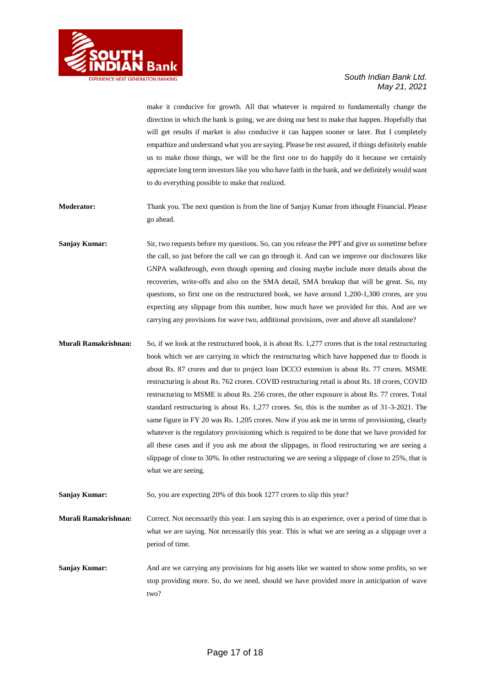

make it conducive for growth. All that whatever is required to fundamentally change the direction in which the bank is going, we are doing our best to make that happen. Hopefully that will get results if market is also conducive it can happen sooner or later. But I completely empathize and understand what you are saying. Please be rest assured, if things definitely enable us to make those things, we will be the first one to do happily do it because we certainly appreciate long term investors like you who have faith in the bank, and we definitely would want to do everything possible to make that realized.

**Moderator:** Thank you. The next question is from the line of Sanjay Kumar from ithought Financial. Please go ahead.

**Sanjay Kumar:** Sir, two requests before my questions. So, can you release the PPT and give us sometime before the call, so just before the call we can go through it. And can we improve our disclosures like GNPA walkthrough, even though opening and closing maybe include more details about the recoveries, write-offs and also on the SMA detail, SMA breakup that will be great. So, my questions, so first one on the restructured book, we have around 1,200-1,300 crores, are you expecting any slippage from this number, how much have we provided for this. And are we carrying any provisions for wave two, additional provisions, over and above all standalone?

**Murali Ramakrishnan:** So, if we look at the restructured book, it is about Rs. 1,277 crores that is the total restructuring book which we are carrying in which the restructuring which have happened due to floods is about Rs. 87 crores and due to project loan DCCO extension is about Rs. 77 crores. MSME restructuring is about Rs. 762 crores. COVID restructuring retail is about Rs. 18 crores, COVID restructuring to MSME is about Rs. 256 crores, the other exposure is about Rs. 77 crores. Total standard restructuring is about Rs. 1,277 crores. So, this is the number as of 31-3-2021. The same figure in FY 20 was Rs. 1,205 crores. Now if you ask me in terms of provisioning, clearly whatever is the regulatory provisioning which is required to be done that we have provided for all these cases and if you ask me about the slippages, in flood restructuring we are seeing a slippage of close to 30%. In other restructuring we are seeing a slippage of close to 25%, that is what we are seeing.

**Sanjay Kumar:** So, you are expecting 20% of this book 1277 crores to slip this year?

**Murali Ramakrishnan:** Correct. Not necessarily this year. I am saying this is an experience, over a period of time that is what we are saying. Not necessarily this year. This is what we are seeing as a slippage over a period of time.

**Sanjay Kumar:** And are we carrying any provisions for big assets like we wanted to show some profits, so we stop providing more. So, do we need, should we have provided more in anticipation of wave two?